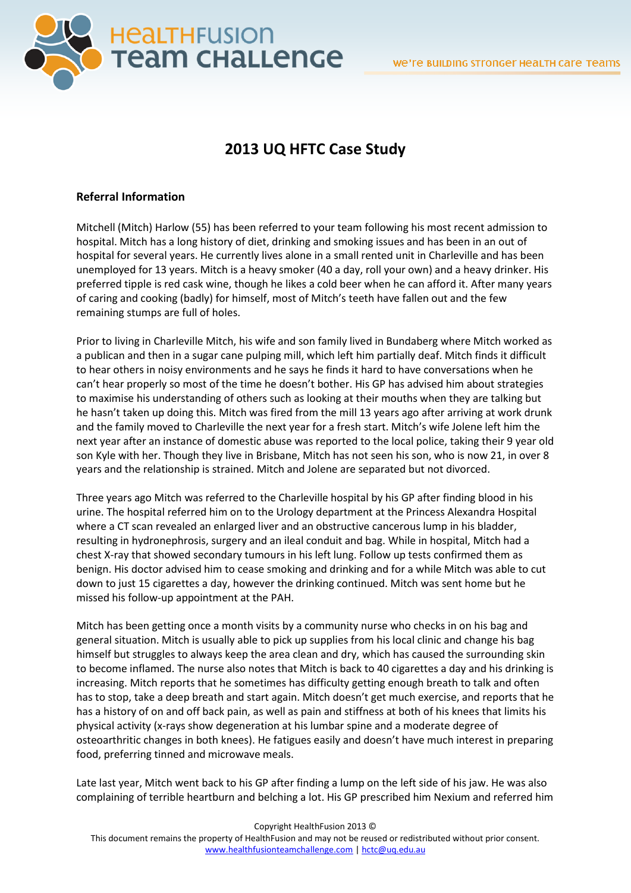

# **2013 UQ HFTC Case Study**

## **Referral Information**

Mitchell (Mitch) Harlow (55) has been referred to your team following his most recent admission to hospital. Mitch has a long history of diet, drinking and smoking issues and has been in an out of hospital for several years. He currently lives alone in a small rented unit in Charleville and has been unemployed for 13 years. Mitch is a heavy smoker (40 a day, roll your own) and a heavy drinker. His preferred tipple is red cask wine, though he likes a cold beer when he can afford it. After many years of caring and cooking (badly) for himself, most of Mitch's teeth have fallen out and the few remaining stumps are full of holes.

Prior to living in Charleville Mitch, his wife and son family lived in Bundaberg where Mitch worked as a publican and then in a sugar cane pulping mill, which left him partially deaf. Mitch finds it difficult to hear others in noisy environments and he says he finds it hard to have conversations when he can't hear properly so most of the time he doesn't bother. His GP has advised him about strategies to maximise his understanding of others such as looking at their mouths when they are talking but he hasn't taken up doing this. Mitch was fired from the mill 13 years ago after arriving at work drunk and the family moved to Charleville the next year for a fresh start. Mitch's wife Jolene left him the next year after an instance of domestic abuse was reported to the local police, taking their 9 year old son Kyle with her. Though they live in Brisbane, Mitch has not seen his son, who is now 21, in over 8 years and the relationship is strained. Mitch and Jolene are separated but not divorced.

Three years ago Mitch was referred to the Charleville hospital by his GP after finding blood in his urine. The hospital referred him on to the Urology department at the Princess Alexandra Hospital where a CT scan revealed an enlarged liver and an obstructive cancerous lump in his bladder, resulting in hydronephrosis, surgery and an ileal conduit and bag. While in hospital, Mitch had a chest X-ray that showed secondary tumours in his left lung. Follow up tests confirmed them as benign. His doctor advised him to cease smoking and drinking and for a while Mitch was able to cut down to just 15 cigarettes a day, however the drinking continued. Mitch was sent home but he missed his follow-up appointment at the PAH.

Mitch has been getting once a month visits by a community nurse who checks in on his bag and general situation. Mitch is usually able to pick up supplies from his local clinic and change his bag himself but struggles to always keep the area clean and dry, which has caused the surrounding skin to become inflamed. The nurse also notes that Mitch is back to 40 cigarettes a day and his drinking is increasing. Mitch reports that he sometimes has difficulty getting enough breath to talk and often has to stop, take a deep breath and start again. Mitch doesn't get much exercise, and reports that he has a history of on and off back pain, as well as pain and stiffness at both of his knees that limits his physical activity (x-rays show degeneration at his lumbar spine and a moderate degree of osteoarthritic changes in both knees). He fatigues easily and doesn't have much interest in preparing food, preferring tinned and microwave meals.

Late last year, Mitch went back to his GP after finding a lump on the left side of his jaw. He was also complaining of terrible heartburn and belching a lot. His GP prescribed him Nexium and referred him

Copyright HealthFusion 2013 ©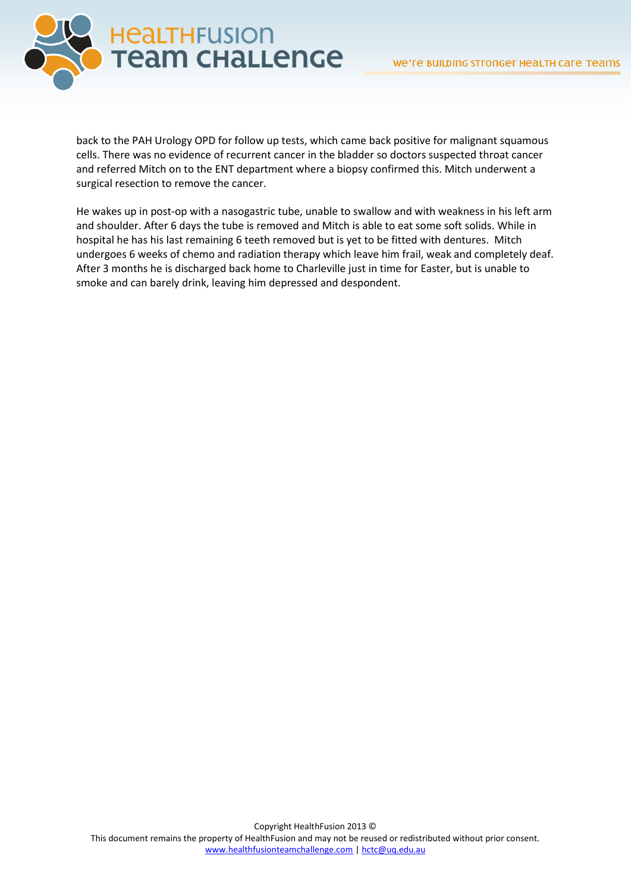

back to the PAH Urology OPD for follow up tests, which came back positive for malignant squamous cells. There was no evidence of recurrent cancer in the bladder so doctors suspected throat cancer and referred Mitch on to the ENT department where a biopsy confirmed this. Mitch underwent a surgical resection to remove the cancer.

He wakes up in post-op with a nasogastric tube, unable to swallow and with weakness in his left arm and shoulder. After 6 days the tube is removed and Mitch is able to eat some soft solids. While in hospital he has his last remaining 6 teeth removed but is yet to be fitted with dentures. Mitch undergoes 6 weeks of chemo and radiation therapy which leave him frail, weak and completely deaf. After 3 months he is discharged back home to Charleville just in time for Easter, but is unable to smoke and can barely drink, leaving him depressed and despondent.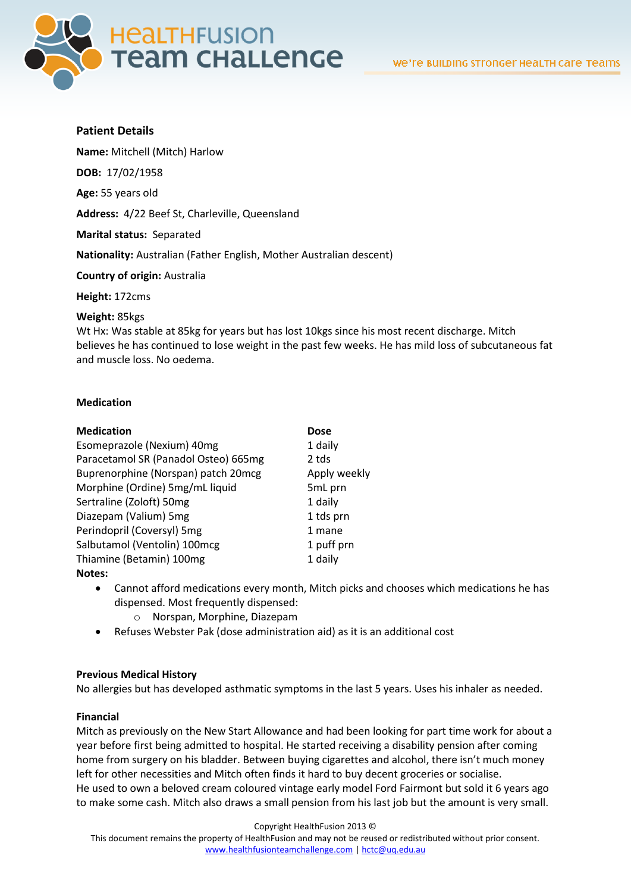

## **Patient Details**

**Name:** Mitchell (Mitch) Harlow

**DOB:** 17/02/1958

**Age:** 55 years old

**Address:** 4/22 Beef St, Charleville, Queensland

**Marital status:** Separated

**Nationality:** Australian (Father English, Mother Australian descent)

**Country of origin:** Australia

**Height:** 172cms

#### **Weight:** 85kgs

Wt Hx: Was stable at 85kg for years but has lost 10kgs since his most recent discharge. Mitch believes he has continued to lose weight in the past few weeks. He has mild loss of subcutaneous fat and muscle loss. No oedema.

### **Medication**

#### **Medication Dose**

| Esomeprazole (Nexium) 40mg           | 1 daily      |
|--------------------------------------|--------------|
| Paracetamol SR (Panadol Osteo) 665mg | 2 tds        |
| Buprenorphine (Norspan) patch 20mcg  | Apply weekly |
| Morphine (Ordine) 5mg/mL liquid      | 5mL prn      |
| Sertraline (Zoloft) 50mg             | 1 daily      |
| Diazepam (Valium) 5mg                | 1 tds prn    |
| Perindopril (Coversyl) 5mg           | 1 mane       |
| Salbutamol (Ventolin) 100mcg         | 1 puff prn   |
| Thiamine (Betamin) 100mg             | 1 daily      |
| $N = 1 - 1$                          |              |

#### **Notes:**

- Cannot afford medications every month, Mitch picks and chooses which medications he has dispensed. Most frequently dispensed:
	- o Norspan, Morphine, Diazepam
- Refuses Webster Pak (dose administration aid) as it is an additional cost

## **Previous Medical History**

No allergies but has developed asthmatic symptoms in the last 5 years. Uses his inhaler as needed.

## **Financial**

Mitch as previously on the New Start Allowance and had been looking for part time work for about a year before first being admitted to hospital. He started receiving a disability pension after coming home from surgery on his bladder. Between buying cigarettes and alcohol, there isn't much money left for other necessities and Mitch often finds it hard to buy decent groceries or socialise. He used to own a beloved cream coloured vintage early model Ford Fairmont but sold it 6 years ago to make some cash. Mitch also draws a small pension from his last job but the amount is very small.

Copyright HealthFusion 2013 ©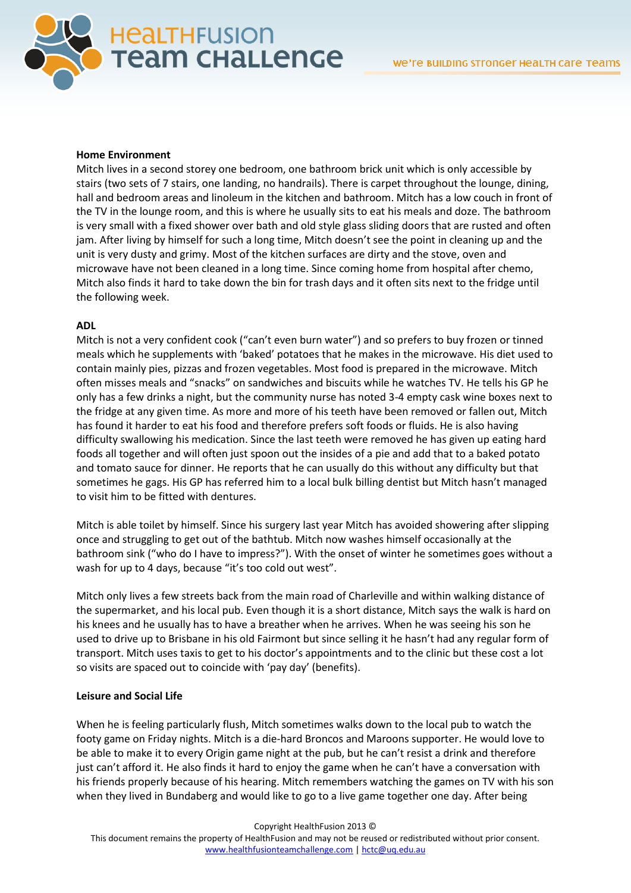

### **Home Environment**

Mitch lives in a second storey one bedroom, one bathroom brick unit which is only accessible by stairs (two sets of 7 stairs, one landing, no handrails). There is carpet throughout the lounge, dining, hall and bedroom areas and linoleum in the kitchen and bathroom. Mitch has a low couch in front of the TV in the lounge room, and this is where he usually sits to eat his meals and doze. The bathroom is very small with a fixed shower over bath and old style glass sliding doors that are rusted and often jam. After living by himself for such a long time, Mitch doesn't see the point in cleaning up and the unit is very dusty and grimy. Most of the kitchen surfaces are dirty and the stove, oven and microwave have not been cleaned in a long time. Since coming home from hospital after chemo, Mitch also finds it hard to take down the bin for trash days and it often sits next to the fridge until the following week.

### **ADL**

Mitch is not a very confident cook ("can't even burn water") and so prefers to buy frozen or tinned meals which he supplements with 'baked' potatoes that he makes in the microwave. His diet used to contain mainly pies, pizzas and frozen vegetables. Most food is prepared in the microwave. Mitch often misses meals and "snacks" on sandwiches and biscuits while he watches TV. He tells his GP he only has a few drinks a night, but the community nurse has noted 3-4 empty cask wine boxes next to the fridge at any given time. As more and more of his teeth have been removed or fallen out, Mitch has found it harder to eat his food and therefore prefers soft foods or fluids. He is also having difficulty swallowing his medication. Since the last teeth were removed he has given up eating hard foods all together and will often just spoon out the insides of a pie and add that to a baked potato and tomato sauce for dinner. He reports that he can usually do this without any difficulty but that sometimes he gags. His GP has referred him to a local bulk billing dentist but Mitch hasn't managed to visit him to be fitted with dentures.

Mitch is able toilet by himself. Since his surgery last year Mitch has avoided showering after slipping once and struggling to get out of the bathtub. Mitch now washes himself occasionally at the bathroom sink ("who do I have to impress?"). With the onset of winter he sometimes goes without a wash for up to 4 days, because "it's too cold out west".

Mitch only lives a few streets back from the main road of Charleville and within walking distance of the supermarket, and his local pub. Even though it is a short distance, Mitch says the walk is hard on his knees and he usually has to have a breather when he arrives. When he was seeing his son he used to drive up to Brisbane in his old Fairmont but since selling it he hasn't had any regular form of transport. Mitch uses taxis to get to his doctor's appointments and to the clinic but these cost a lot so visits are spaced out to coincide with 'pay day' (benefits).

## **Leisure and Social Life**

When he is feeling particularly flush, Mitch sometimes walks down to the local pub to watch the footy game on Friday nights. Mitch is a die-hard Broncos and Maroons supporter. He would love to be able to make it to every Origin game night at the pub, but he can't resist a drink and therefore just can't afford it. He also finds it hard to enjoy the game when he can't have a conversation with his friends properly because of his hearing. Mitch remembers watching the games on TV with his son when they lived in Bundaberg and would like to go to a live game together one day. After being

Copyright HealthFusion 2013 ©